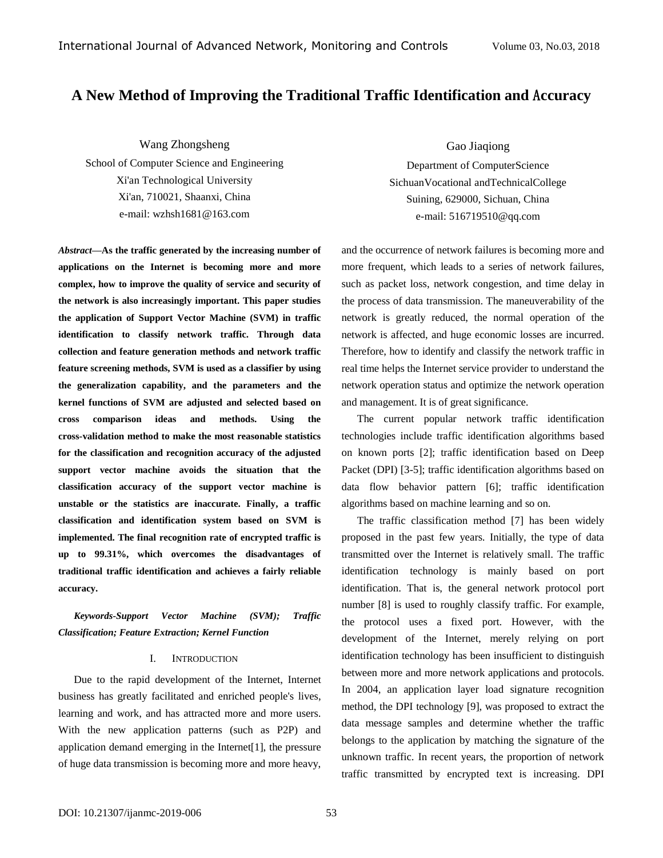# **A New Method of Improving the Traditional Traffic Identification and** A**ccuracy**

Wang Zhongsheng School of Computer Science and Engineering Xi'an Technological University

> Xi'an, 710021, Shaanxi, China e-mail: wzhsh1681@163.com

*Abstract—***As the traffic generated by the increasing number of applications on the Internet is becoming more and more complex, how to improve the quality of service and security of the network is also increasingly important. This paper studies the application of Support Vector Machine (SVM) in traffic identification to classify network traffic. Through data collection and feature generation methods and network traffic feature screening methods, SVM is used as a classifier by using the generalization capability, and the parameters and the kernel functions of SVM are adjusted and selected based on cross comparison ideas and methods. Using the cross-validation method to make the most reasonable statistics for the classification and recognition accuracy of the adjusted support vector machine avoids the situation that the classification accuracy of the support vector machine is unstable or the statistics are inaccurate. Finally, a traffic classification and identification system based on SVM is implemented. The final recognition rate of encrypted traffic is up to 99.31%, which overcomes the disadvantages of traditional traffic identification and achieves a fairly reliable accuracy.**

*Keywords-Support Vector Machine (SVM); Traffic Classification; Feature Extraction; Kernel Function*

### I. INTRODUCTION

Due to the rapid development of the Internet, Internet business has greatly facilitated and enriched people's lives, learning and work, and has attracted more and more users. With the new application patterns (such as P2P) and application demand emerging in the Internet[1], the pressure of huge data transmission is becoming more and more heavy, Gao Jiaqiong

Department of ComputerScience SichuanVocational andTechnicalCollege Suining, 629000, Sichuan, China e-mail: 516719510@qq.com

and the occurrence of network failures is becoming more and more frequent, which leads to a series of network failures, such as packet loss, network congestion, and time delay in the process of data transmission. The maneuverability of the network is greatly reduced, the normal operation of the network is affected, and huge economic losses are incurred. Therefore, how to identify and classify the network traffic in real time helps the Internet service provider to understand the network operation status and optimize the network operation and management. It is of great significance.

The current popular network traffic identification technologies include traffic identification algorithms based on known ports [2]; traffic identification based on Deep Packet (DPI) [3-5]; traffic identification algorithms based on data flow behavior pattern [6]; traffic identification algorithms based on machine learning and so on.

The traffic classification method [7] has been widely proposed in the past few years. Initially, the type of data transmitted over the Internet is relatively small. The traffic identification technology is mainly based on port identification. That is, the general network protocol port number [8] is used to roughly classify traffic. For example, the protocol uses a fixed port. However, with the development of the Internet, merely relying on port identification technology has been insufficient to distinguish between more and more network applications and protocols. In 2004, an application layer load signature recognition method, the DPI technology [9], was proposed to extract the data message samples and determine whether the traffic belongs to the application by matching the signature of the unknown traffic. In recent years, the proportion of network traffic transmitted by encrypted text is increasing. DPI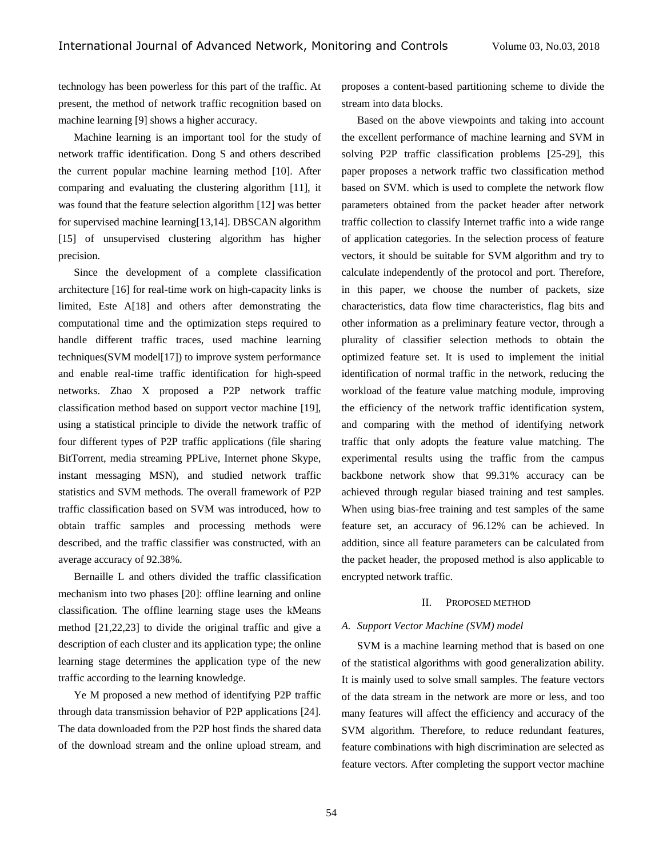technology has been powerless for this part of the traffic. At present, the method of network traffic recognition based on machine learning [9] shows a higher accuracy.

Machine learning is an important tool for the study of network traffic identification. Dong S and others described the current popular machine learning method [10]. After comparing and evaluating the clustering algorithm [11], it was found that the feature selection algorithm [12] was better for supervised machine learning[13,14]. DBSCAN algorithm [15] of unsupervised clustering algorithm has higher precision.

Since the development of a complete classification architecture [16] for real-time work on high-capacity links is limited, Este A[18] and others after demonstrating the computational time and the optimization steps required to handle different traffic traces, used machine learning techniques(SVM model[17]) to improve system performance and enable real-time traffic identification for high-speed networks. Zhao X proposed a P2P network traffic classification method based on support vector machine [19], using a statistical principle to divide the network traffic of four different types of P2P traffic applications (file sharing BitTorrent, media streaming PPLive, Internet phone Skype, instant messaging MSN), and studied network traffic statistics and SVM methods. The overall framework of P2P traffic classification based on SVM was introduced, how to obtain traffic samples and processing methods were described, and the traffic classifier was constructed, with an average accuracy of 92.38%.

Bernaille L and others divided the traffic classification mechanism into two phases [20]: offline learning and online classification. The offline learning stage uses the kMeans method [21,22,23] to divide the original traffic and give a description of each cluster and its application type; the online learning stage determines the application type of the new traffic according to the learning knowledge.

Ye M proposed a new method of identifying P2P traffic through data transmission behavior of P2P applications [24]. The data downloaded from the P2P host finds the shared data of the download stream and the online upload stream, and proposes a content-based partitioning scheme to divide the stream into data blocks.

Based on the above viewpoints and taking into account the excellent performance of machine learning and SVM in solving P2P traffic classification problems [25-29], this paper proposes a network traffic two classification method based on SVM. which is used to complete the network flow parameters obtained from the packet header after network traffic collection to classify Internet traffic into a wide range of application categories. In the selection process of feature vectors, it should be suitable for SVM algorithm and try to calculate independently of the protocol and port. Therefore, in this paper, we choose the number of packets, size characteristics, data flow time characteristics, flag bits and other information as a preliminary feature vector, through a plurality of classifier selection methods to obtain the optimized feature set. It is used to implement the initial identification of normal traffic in the network, reducing the workload of the feature value matching module, improving the efficiency of the network traffic identification system, and comparing with the method of identifying network traffic that only adopts the feature value matching. The experimental results using the traffic from the campus backbone network show that 99.31% accuracy can be achieved through regular biased training and test samples. When using bias-free training and test samples of the same feature set, an accuracy of 96.12% can be achieved. In addition, since all feature parameters can be calculated from the packet header, the proposed method is also applicable to encrypted network traffic.

## II. PROPOSED METHOD

#### *A. Support Vector Machine (SVM) model*

SVM is a machine learning method that is based on one of the statistical algorithms with good generalization ability. It is mainly used to solve small samples. The feature vectors of the data stream in the network are more or less, and too many features will affect the efficiency and accuracy of the SVM algorithm. Therefore, to reduce redundant features, feature combinations with high discrimination are selected as feature vectors. After completing the support vector machine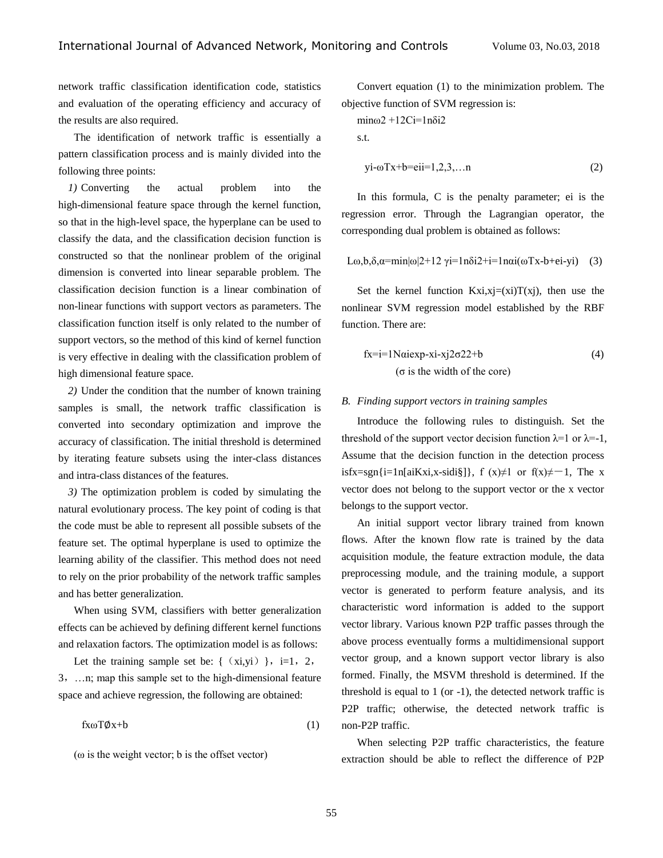network traffic classification identification code, statistics and evaluation of the operating efficiency and accuracy of the results are also required.

The identification of network traffic is essentially a pattern classification process and is mainly divided into the following three points:

*1)* Converting the actual problem into the high-dimensional feature space through the kernel function, so that in the high-level space, the hyperplane can be used to classify the data, and the classification decision function is constructed so that the nonlinear problem of the original dimension is converted into linear separable problem. The classification decision function is a linear combination of non-linear functions with support vectors as parameters. The classification function itself is only related to the number of support vectors, so the method of this kind of kernel function is very effective in dealing with the classification problem of high dimensional feature space.

*2)* Under the condition that the number of known training samples is small, the network traffic classification is converted into secondary optimization and improve the accuracy of classification. The initial threshold is determined by iterating feature subsets using the inter-class distances and intra-class distances of the features.

*3)* The optimization problem is coded by simulating the natural evolutionary process. The key point of coding is that the code must be able to represent all possible subsets of the feature set. The optimal hyperplane is used to optimize the learning ability of the classifier. This method does not need to rely on the prior probability of the network traffic samples and has better generalization.

When using SVM, classifiers with better generalization effects can be achieved by defining different kernel functions and relaxation factors. The optimization model is as follows:

Let the training sample set be:  $\{(\vec{x}, \vec{y})\}$ , i=1, 2, 3,…n; map this sample set to the high-dimensional feature space and achieve regression, the following are obtained:

$$
fx \omega T \phi x + b \tag{1}
$$

( $\omega$  is the weight vector; b is the offset vector)

Convert equation (1) to the minimization problem. The objective function of SVM regression is:

$$
min\omega 2 + 12Ci = 1n\delta i2
$$

s.t.

$$
yi \text{-} \omega Tx + b = eii = 1, 2, 3, \dots n \tag{2}
$$

In this formula, C is the penalty parameter; ei is the regression error. Through the Lagrangian operator, the corresponding dual problem is obtained as follows:

$$
L\omega, b, \delta, \alpha = \min|\omega|2 + 12 \gamma = 1 \text{ n} \delta i2 + i = 1 \text{ n} \alpha i (\omega \text{ T} x - b + \text{ei} - y \text{i}) \tag{3}
$$

Set the kernel function  $Kxi, xj=(xi)T(xj)$ , then use the nonlinear SVM regression model established by the RBF function. There are:

$$
fx=i=1Naiexp-xi-xj2\sigma22+b
$$
\n
$$
(\sigma \text{ is the width of the core})
$$
\n(4)

#### *B. Finding support vectors in training samples*

Introduce the following rules to distinguish. Set the threshold of the support vector decision function  $\lambda=1$  or  $\lambda=-1$ , Assume that the decision function in the detection process isfx=sgn{i=1n[aiKxi,x-sidi§]}, f (x) $\neq$ 1 or f(x) $\neq$ -1, The x vector does not belong to the support vector or the x vector belongs to the support vector.

An initial support vector library trained from known flows. After the known flow rate is trained by the data acquisition module, the feature extraction module, the data preprocessing module, and the training module, a support vector is generated to perform feature analysis, and its characteristic word information is added to the support vector library. Various known P2P traffic passes through the above process eventually forms a multidimensional support vector group, and a known support vector library is also formed. Finally, the MSVM threshold is determined. If the threshold is equal to 1 (or -1), the detected network traffic is P2P traffic; otherwise, the detected network traffic is non-P2P traffic.

When selecting P2P traffic characteristics, the feature extraction should be able to reflect the difference of P2P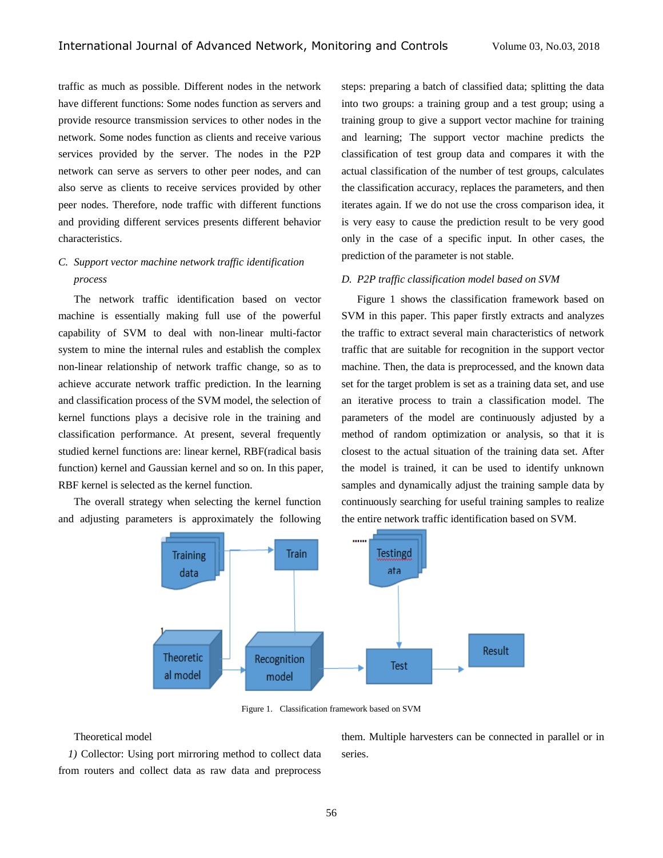traffic as much as possible. Different nodes in the network have different functions: Some nodes function as servers and provide resource transmission services to other nodes in the network. Some nodes function as clients and receive various services provided by the server. The nodes in the P2P network can serve as servers to other peer nodes, and can also serve as clients to receive services provided by other peer nodes. Therefore, node traffic with different functions and providing different services presents different behavior characteristics.

## *C. Support vector machine network traffic identification process*

The network traffic identification based on vector machine is essentially making full use of the powerful capability of SVM to deal with non-linear multi-factor system to mine the internal rules and establish the complex non-linear relationship of network traffic change, so as to achieve accurate network traffic prediction. In the learning and classification process of the SVM model, the selection of kernel functions plays a decisive role in the training and classification performance. At present, several frequently studied kernel functions are: linear kernel, RBF(radical basis function) kernel and Gaussian kernel and so on. In this paper, RBF kernel is selected as the kernel function.

The overall strategy when selecting the kernel function and adjusting parameters is approximately the following

steps: preparing a batch of classified data; splitting the data into two groups: a training group and a test group; using a training group to give a support vector machine for training and learning; The support vector machine predicts the classification of test group data and compares it with the actual classification of the number of test groups, calculates the classification accuracy, replaces the parameters, and then iterates again. If we do not use the cross comparison idea, it is very easy to cause the prediction result to be very good only in the case of a specific input. In other cases, the prediction of the parameter is not stable.

#### *D. P2P traffic classification model based on SVM*

Figure 1 shows the classification framework based on SVM in this paper. This paper firstly extracts and analyzes the traffic to extract several main characteristics of network traffic that are suitable for recognition in the support vector machine. Then, the data is preprocessed, and the known data set for the target problem is set as a training data set, and use an iterative process to train a classification model. The parameters of the model are continuously adjusted by a method of random optimization or analysis, so that it is closest to the actual situation of the training data set. After the model is trained, it can be used to identify unknown samples and dynamically adjust the training sample data by continuously searching for useful training samples to realize the entire network traffic identification based on SVM.



Figure 1. Classification framework based on SVM

Theoretical model

*1)* Collector: Using port mirroring method to collect data from routers and collect data as raw data and preprocess

them. Multiple harvesters can be connected in parallel or in series.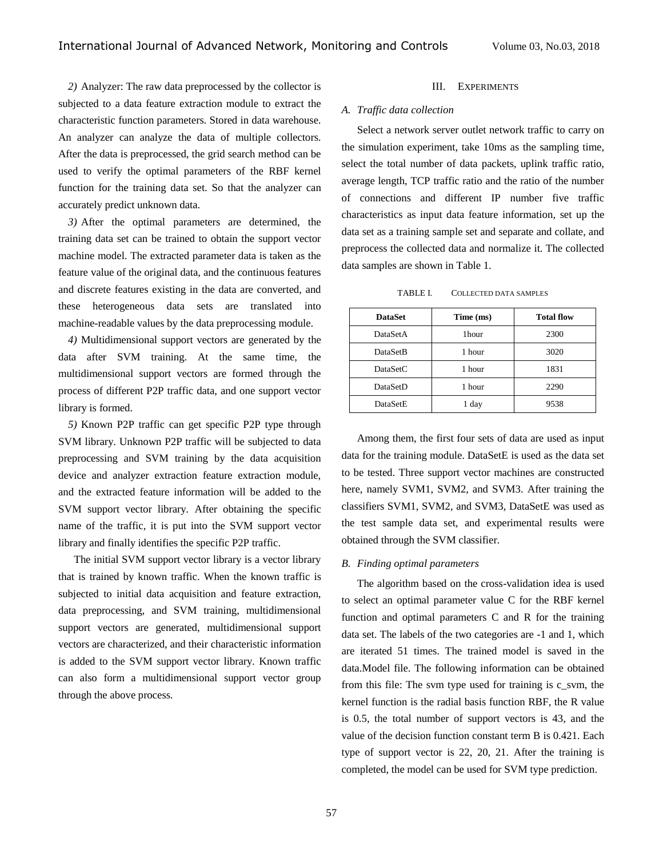*2)* Analyzer: The raw data preprocessed by the collector is subjected to a data feature extraction module to extract the characteristic function parameters. Stored in data warehouse. An analyzer can analyze the data of multiple collectors. After the data is preprocessed, the grid search method can be used to verify the optimal parameters of the RBF kernel function for the training data set. So that the analyzer can accurately predict unknown data.

*3)* After the optimal parameters are determined, the training data set can be trained to obtain the support vector machine model. The extracted parameter data is taken as the feature value of the original data, and the continuous features and discrete features existing in the data are converted, and these heterogeneous data sets are translated into machine-readable values by the data preprocessing module.

*4)* Multidimensional support vectors are generated by the data after SVM training. At the same time, the multidimensional support vectors are formed through the process of different P2P traffic data, and one support vector library is formed.

*5)* Known P2P traffic can get specific P2P type through SVM library. Unknown P2P traffic will be subjected to data preprocessing and SVM training by the data acquisition device and analyzer extraction feature extraction module, and the extracted feature information will be added to the SVM support vector library. After obtaining the specific name of the traffic, it is put into the SVM support vector library and finally identifies the specific P2P traffic.

The initial SVM support vector library is a vector library that is trained by known traffic. When the known traffic is subjected to initial data acquisition and feature extraction, data preprocessing, and SVM training, multidimensional support vectors are generated, multidimensional support vectors are characterized, and their characteristic information is added to the SVM support vector library. Known traffic can also form a multidimensional support vector group through the above process.

#### III. EXPERIMENTS

## *A. Traffic data collection*

Select a network server outlet network traffic to carry on the simulation experiment, take 10ms as the sampling time, select the total number of data packets, uplink traffic ratio, average length, TCP traffic ratio and the ratio of the number of connections and different IP number five traffic characteristics as input data feature information, set up the data set as a training sample set and separate and collate, and preprocess the collected data and normalize it. The collected data samples are shown in Table 1.

TABLE I. COLLECTED DATA SAMPLES

| <b>DataSet</b>  | Time (ms) | <b>Total flow</b> |
|-----------------|-----------|-------------------|
| <b>DataSetA</b> | 1hour     | 2300              |
| <b>DataSetB</b> | 1 hour    | 3020              |
| DataSetC        | 1 hour    | 1831              |
| DataSetD        | 1 hour    | 2290              |
| DataSetE        | 1 day     | 9538              |

Among them, the first four sets of data are used as input data for the training module. DataSetE is used as the data set to be tested. Three support vector machines are constructed here, namely SVM1, SVM2, and SVM3. After training the classifiers SVM1, SVM2, and SVM3, DataSetE was used as the test sample data set, and experimental results were obtained through the SVM classifier.

#### *B. Finding optimal parameters*

The algorithm based on the cross-validation idea is used to select an optimal parameter value C for the RBF kernel function and optimal parameters C and R for the training data set. The labels of the two categories are -1 and 1, which are iterated 51 times. The trained model is saved in the data.Model file. The following information can be obtained from this file: The svm type used for training is c\_svm, the kernel function is the radial basis function RBF, the R value is 0.5, the total number of support vectors is 43, and the value of the decision function constant term B is 0.421. Each type of support vector is 22, 20, 21. After the training is completed, the model can be used for SVM type prediction.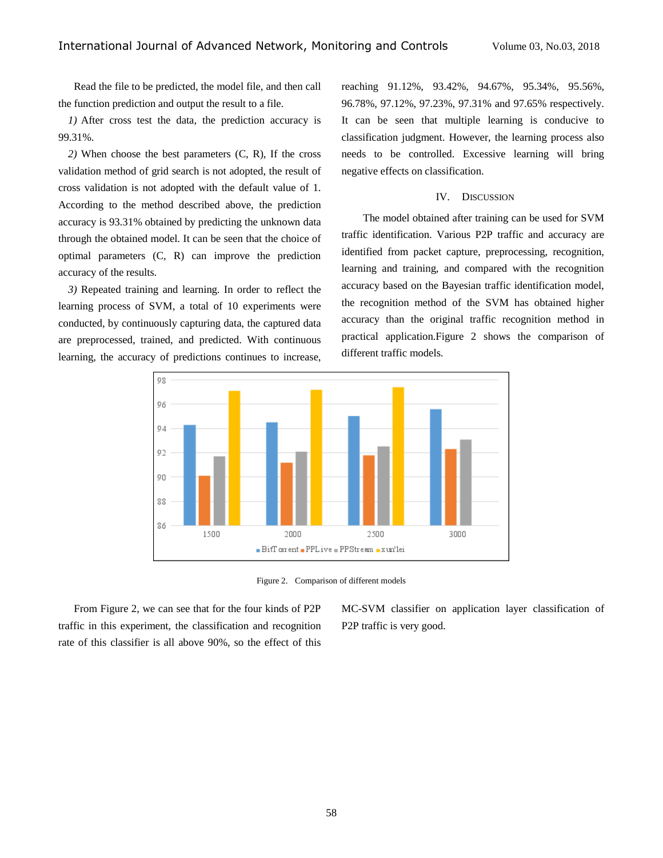Read the file to be predicted, the model file, and then call the function prediction and output the result to a file.

*1)* After cross test the data, the prediction accuracy is 99.31%.

*2)* When choose the best parameters (C, R), If the cross validation method of grid search is not adopted, the result of cross validation is not adopted with the default value of 1. According to the method described above, the prediction accuracy is 93.31% obtained by predicting the unknown data through the obtained model. It can be seen that the choice of optimal parameters (C, R) can improve the prediction accuracy of the results.

*3)* Repeated training and learning. In order to reflect the learning process of SVM, a total of 10 experiments were conducted, by continuously capturing data, the captured data are preprocessed, trained, and predicted. With continuous learning, the accuracy of predictions continues to increase,

reaching 91.12%, 93.42%, 94.67%, 95.34%, 95.56%, 96.78%, 97.12%, 97.23%, 97.31% and 97.65% respectively. It can be seen that multiple learning is conducive to classification judgment. However, the learning process also needs to be controlled. Excessive learning will bring negative effects on classification.

#### IV. DISCUSSION

The model obtained after training can be used for SVM traffic identification. Various P2P traffic and accuracy are identified from packet capture, preprocessing, recognition, learning and training, and compared with the recognition accuracy based on the Bayesian traffic identification model, the recognition method of the SVM has obtained higher accuracy than the original traffic recognition method in practical application.Figure 2 shows the comparison of different traffic models.



Figure 2. Comparison of different models

From Figure 2, we can see that for the four kinds of P2P traffic in this experiment, the classification and recognition rate of this classifier is all above 90%, so the effect of this

MC-SVM classifier on application layer classification of P2P traffic is very good.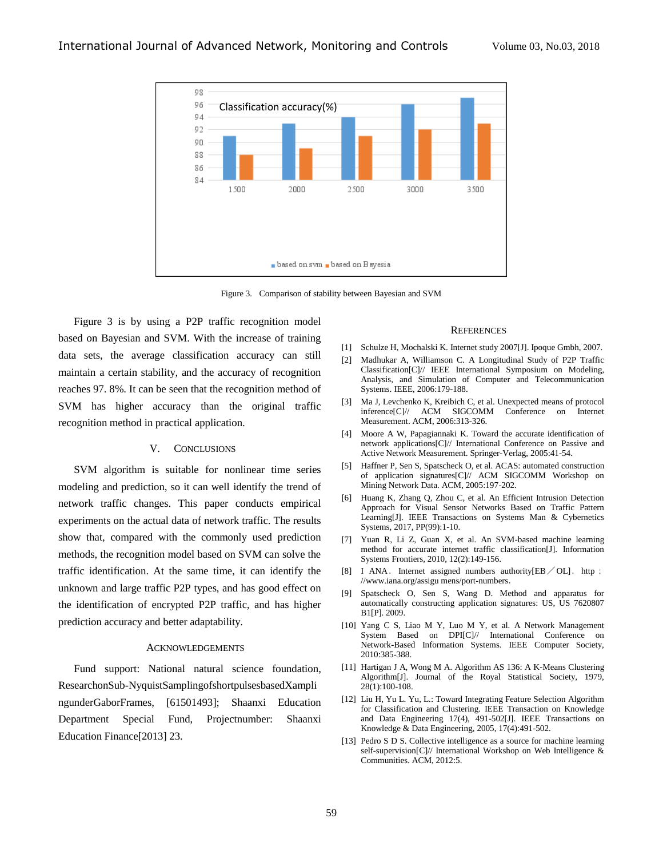

Figure 3. Comparison of stability between Bayesian and SVM

Figure 3 is by using a P2P traffic recognition model based on Bayesian and SVM. With the increase of training data sets, the average classification accuracy can still maintain a certain stability, and the accuracy of recognition reaches 97. 8%. It can be seen that the recognition method of SVM has higher accuracy than the original traffic recognition method in practical application.

#### V. CONCLUSIONS

SVM algorithm is suitable for nonlinear time series modeling and prediction, so it can well identify the trend of network traffic changes. This paper conducts empirical experiments on the actual data of network traffic. The results show that, compared with the commonly used prediction methods, the recognition model based on SVM can solve the traffic identification. At the same time, it can identify the unknown and large traffic P2P types, and has good effect on the identification of encrypted P2P traffic, and has higher prediction accuracy and better adaptability.

#### ACKNOWLEDGEMENTS

Fund support: National natural science foundation, ResearchonSub-NyquistSamplingofshortpulsesbasedXampli ngunderGaborFrames, [61501493]; Shaanxi Education Department Special Fund, Projectnumber: Shaanxi Education Finance[2013] 23.

#### **REFERENCES**

- [1] Schulze H, Mochalski K. Internet study 2007[J]. Ipoque Gmbh, 2007.
- [2] Madhukar A, Williamson C. A Longitudinal Study of P2P Traffic Classification[C]// IEEE International Symposium on Modeling, Analysis, and Simulation of Computer and Telecommunication Systems. IEEE, 2006:179-188.
- [3] Ma J, Levchenko K, Kreibich C, et al. Unexpected means of protocol inference[C]// ACM SIGCOMM Conference on Internet Measurement. ACM, 2006:313-326.
- [4] Moore A W, Papagiannaki K. Toward the accurate identification of network applications[C]// International Conference on Passive and Active Network Measurement. Springer-Verlag, 2005:41-54.
- Haffner P, Sen S, Spatscheck O, et al. ACAS: automated construction of application signatures[C]// ACM SIGCOMM Workshop on Mining Network Data. ACM, 2005:197-202.
- [6] Huang K, Zhang Q, Zhou C, et al. An Efficient Intrusion Detection Approach for Visual Sensor Networks Based on Traffic Pattern Learning[J]. IEEE Transactions on Systems Man & Cybernetics Systems, 2017, PP(99):1-10.
- [7] Yuan R, Li Z, Guan X, et al. An SVM-based machine learning method for accurate internet traffic classification[J]. Information Systems Frontiers, 2010, 12(2):149-156.
- [8] I ANA. Internet assigned numbers authority [EB  $\diagup$  OL]. http: //www.iana.org/assigu mens/port-numbers.
- [9] Spatscheck O, Sen S, Wang D. Method and apparatus for automatically constructing application signatures: US, US 7620807 B1[P]. 2009.
- [10] Yang C S, Liao M Y, Luo M Y, et al. A Network Management System Based on DPI[C]// International Conference on Network-Based Information Systems. IEEE Computer Society, 2010:385-388.
- [11] Hartigan J A, Wong M A. Algorithm AS 136: A K-Means Clustering Algorithm[J]. Journal of the Royal Statistical Society, 1979, 28(1):100-108.
- [12] Liu H, Yu L. Yu, L.: Toward Integrating Feature Selection Algorithm for Classification and Clustering. IEEE Transaction on Knowledge and Data Engineering 17(4), 491-502[J]. IEEE Transactions on Knowledge & Data Engineering, 2005, 17(4):491-502.
- [13] Pedro S D S. Collective intelligence as a source for machine learning self-supervision[C]// International Workshop on Web Intelligence & Communities. ACM, 2012:5.